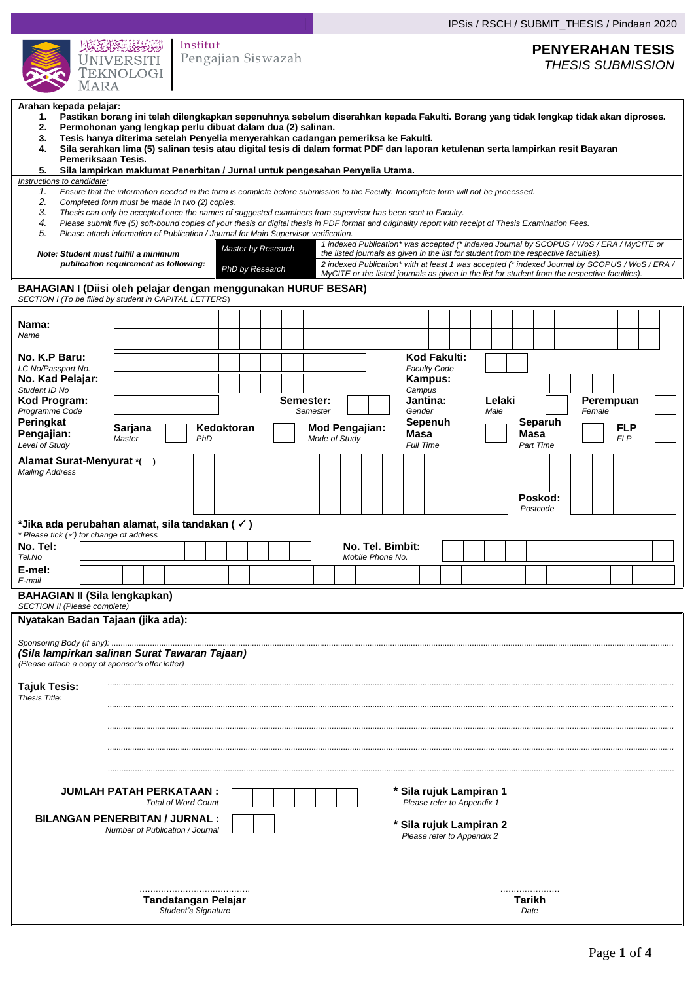|                                                                                                                                                                                                                                                                                                                                                                                                                                                                                                                                                                                                                                                                                                                                                                                                                                                                                                                                                                                                                                                                                                                                                                                                                                                                                                                                                                                                                                                                                                                                                                                                                                                                                                                                                                                                                                                                               |                                                                   |                                                                                                     | IPSis / RSCH / SUBMIT_THESIS / Pindaan 2020                                |  |  |  |
|-------------------------------------------------------------------------------------------------------------------------------------------------------------------------------------------------------------------------------------------------------------------------------------------------------------------------------------------------------------------------------------------------------------------------------------------------------------------------------------------------------------------------------------------------------------------------------------------------------------------------------------------------------------------------------------------------------------------------------------------------------------------------------------------------------------------------------------------------------------------------------------------------------------------------------------------------------------------------------------------------------------------------------------------------------------------------------------------------------------------------------------------------------------------------------------------------------------------------------------------------------------------------------------------------------------------------------------------------------------------------------------------------------------------------------------------------------------------------------------------------------------------------------------------------------------------------------------------------------------------------------------------------------------------------------------------------------------------------------------------------------------------------------------------------------------------------------------------------------------------------------|-------------------------------------------------------------------|-----------------------------------------------------------------------------------------------------|----------------------------------------------------------------------------|--|--|--|
| الْمُبْوَّضِّيْقِيْ بِيْنَكِيْنَ لَى يَا بِكَيْر<br><b>UNIVERSITI</b><br><b>TEKNOLOGI</b><br><b>MARA</b>                                                                                                                                                                                                                                                                                                                                                                                                                                                                                                                                                                                                                                                                                                                                                                                                                                                                                                                                                                                                                                                                                                                                                                                                                                                                                                                                                                                                                                                                                                                                                                                                                                                                                                                                                                      | Institut<br>Pengajian Siswazah                                    | <b>PENYERAHAN TESIS</b><br><b>THESIS SUBMISSION</b>                                                 |                                                                            |  |  |  |
| Arahan kepada pelajar:<br>Pastikan borang ini telah dilengkapkan sepenuhnya sebelum diserahkan kepada Fakulti. Borang yang tidak lengkap tidak akan diproses.<br>1.<br>Permohonan yang lengkap perlu dibuat dalam dua (2) salinan.<br>2.<br>Tesis hanya diterima setelah Penyelia menyerahkan cadangan pemeriksa ke Fakulti.<br>3.<br>Sila serahkan lima (5) salinan tesis atau digital tesis di dalam format PDF dan laporan ketulenan serta lampirkan resit Bayaran<br>4.<br>Pemeriksaan Tesis.<br>5.<br>Sila lampirkan maklumat Penerbitan / Jurnal untuk pengesahan Penyelia Utama.<br>Instructions to candidate:<br>Ensure that the information needed in the form is complete before submission to the Faculty. Incomplete form will not be processed.<br>1.<br>2.<br>Completed form must be made in two (2) copies.<br>3.<br>Thesis can only be accepted once the names of suggested examiners from supervisor has been sent to Faculty.<br>Please submit five (5) soft-bound copies of your thesis or digital thesis in PDF format and originality report with receipt of Thesis Examination Fees.<br>4.<br>5.<br>Please attach information of Publication / Journal for Main Supervisor verification.<br>1 indexed Publication* was accepted (* indexed Journal by SCOPUS / WoS / ERA / MyCITE or<br>Master by Research<br>the listed journals as given in the list for student from the respective faculties).<br>Note: Student must fulfill a minimum<br>publication requirement as following:<br>2 indexed Publication* with at least 1 was accepted (* indexed Journal by SCOPUS / WoS / ERA /<br>PhD by Research<br>MyCITE or the listed journals as given in the list for student from the respective faculties).<br>BAHAGIAN I (Diisi oleh pelajar dengan menggunakan HURUF BESAR)<br>SECTION I (To be filled by student in CAPITAL LETTERS)<br>Nama:<br>Name |                                                                   |                                                                                                     |                                                                            |  |  |  |
| No. K.P Baru:<br>I.C No/Passport No.<br>No. Kad Pelajar:                                                                                                                                                                                                                                                                                                                                                                                                                                                                                                                                                                                                                                                                                                                                                                                                                                                                                                                                                                                                                                                                                                                                                                                                                                                                                                                                                                                                                                                                                                                                                                                                                                                                                                                                                                                                                      |                                                                   | Kod Fakulti:<br><b>Faculty Code</b><br>Kampus:                                                      |                                                                            |  |  |  |
| Student ID No<br>Kod Program:                                                                                                                                                                                                                                                                                                                                                                                                                                                                                                                                                                                                                                                                                                                                                                                                                                                                                                                                                                                                                                                                                                                                                                                                                                                                                                                                                                                                                                                                                                                                                                                                                                                                                                                                                                                                                                                 | Semester:                                                         | Campus<br>Jantina:                                                                                  | Lelaki<br>Perempuan                                                        |  |  |  |
| Programme Code<br>Peringkat<br>Sarjana<br>Pengajian:<br>Master<br>Level of Study                                                                                                                                                                                                                                                                                                                                                                                                                                                                                                                                                                                                                                                                                                                                                                                                                                                                                                                                                                                                                                                                                                                                                                                                                                                                                                                                                                                                                                                                                                                                                                                                                                                                                                                                                                                              | Kedoktoran<br>PhD                                                 | Gender<br>Semester<br>Sepenuh<br><b>Mod Pengajian:</b><br><b>Masa</b><br>Mode of Study<br>Full Time | Female<br>Male<br>Separuh<br><b>FLP</b><br>Masa<br><b>FLP</b><br>Part Time |  |  |  |
| Alamat Surat-Menyurat *()                                                                                                                                                                                                                                                                                                                                                                                                                                                                                                                                                                                                                                                                                                                                                                                                                                                                                                                                                                                                                                                                                                                                                                                                                                                                                                                                                                                                                                                                                                                                                                                                                                                                                                                                                                                                                                                     |                                                                   |                                                                                                     |                                                                            |  |  |  |
| <b>Mailing Address</b>                                                                                                                                                                                                                                                                                                                                                                                                                                                                                                                                                                                                                                                                                                                                                                                                                                                                                                                                                                                                                                                                                                                                                                                                                                                                                                                                                                                                                                                                                                                                                                                                                                                                                                                                                                                                                                                        |                                                                   |                                                                                                     |                                                                            |  |  |  |
|                                                                                                                                                                                                                                                                                                                                                                                                                                                                                                                                                                                                                                                                                                                                                                                                                                                                                                                                                                                                                                                                                                                                                                                                                                                                                                                                                                                                                                                                                                                                                                                                                                                                                                                                                                                                                                                                               |                                                                   |                                                                                                     | Poskod:<br>Postcode                                                        |  |  |  |
| *Jika ada perubahan alamat, sila tandakan ( $\checkmark$ )<br>Please tick $(\checkmark)$ for change of address<br>No. Tel:<br>No. Tel. Bimbit:<br>Tel.No<br>Mobile Phone No.<br>E-mel:<br>E-mail                                                                                                                                                                                                                                                                                                                                                                                                                                                                                                                                                                                                                                                                                                                                                                                                                                                                                                                                                                                                                                                                                                                                                                                                                                                                                                                                                                                                                                                                                                                                                                                                                                                                              |                                                                   |                                                                                                     |                                                                            |  |  |  |
|                                                                                                                                                                                                                                                                                                                                                                                                                                                                                                                                                                                                                                                                                                                                                                                                                                                                                                                                                                                                                                                                                                                                                                                                                                                                                                                                                                                                                                                                                                                                                                                                                                                                                                                                                                                                                                                                               | <b>BAHAGIAN II (Sila lengkapkan)</b>                              |                                                                                                     |                                                                            |  |  |  |
| SECTION II (Please complete)<br>Nyatakan Badan Tajaan (jika ada):<br>(Sila lampirkan salinan Surat Tawaran Tajaan)<br>(Please attach a copy of sponsor's offer letter)<br><b>Tajuk Tesis:</b><br>Thesis Title:<br>JUMLAH PATAH PERKATAAN :<br>* Sila rujuk Lampiran 1<br><b>Total of Word Count</b><br>Please refer to Appendix 1<br><b>BILANGAN PENERBITAN / JURNAL:</b><br>* Sila rujuk Lampiran 2<br>Number of Publication / Journal<br>Please refer to Appendix 2                                                                                                                                                                                                                                                                                                                                                                                                                                                                                                                                                                                                                                                                                                                                                                                                                                                                                                                                                                                                                                                                                                                                                                                                                                                                                                                                                                                                         |                                                                   |                                                                                                     |                                                                            |  |  |  |
|                                                                                                                                                                                                                                                                                                                                                                                                                                                                                                                                                                                                                                                                                                                                                                                                                                                                                                                                                                                                                                                                                                                                                                                                                                                                                                                                                                                                                                                                                                                                                                                                                                                                                                                                                                                                                                                                               | .<br>Tarikh<br>Tandatangan Pelajar<br>Student's Signature<br>Date |                                                                                                     |                                                                            |  |  |  |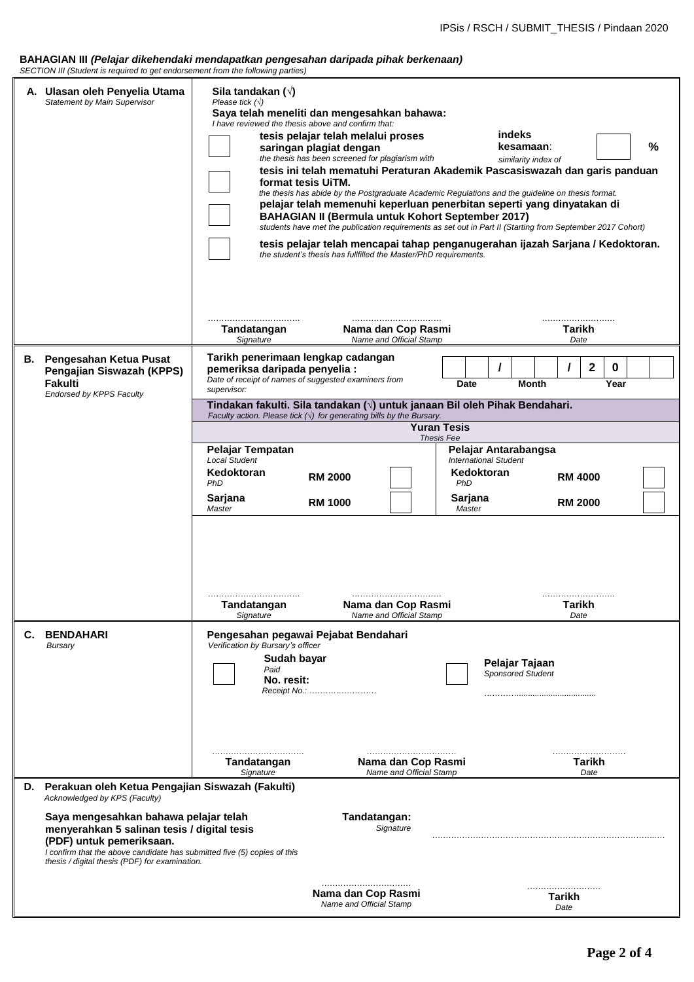#### **BAHAGIAN III** *(Pelajar dikehendaki mendapatkan pengesahan daripada pihak berkenaan) SECTION III (Student is required to get endorsement from the following parties)*

|    | $522$ and $\mu$ and $\mu$ is required to get endorsement from the following parties)                                                                                                                                                           |                                                                                                                                                                                                                                                                                                                                                                                                                                                                                                                                                                                                                                                                                                                                                                                                                                                                                                                                                              |  |  |  |  |
|----|------------------------------------------------------------------------------------------------------------------------------------------------------------------------------------------------------------------------------------------------|--------------------------------------------------------------------------------------------------------------------------------------------------------------------------------------------------------------------------------------------------------------------------------------------------------------------------------------------------------------------------------------------------------------------------------------------------------------------------------------------------------------------------------------------------------------------------------------------------------------------------------------------------------------------------------------------------------------------------------------------------------------------------------------------------------------------------------------------------------------------------------------------------------------------------------------------------------------|--|--|--|--|
|    | A. Ulasan oleh Penyelia Utama<br><b>Statement by Main Supervisor</b>                                                                                                                                                                           | Sila tandakan $(\sqrt{})$<br>Please tick $(\sqrt{})$<br>Saya telah meneliti dan mengesahkan bahawa:<br>I have reviewed the thesis above and confirm that:<br><b>indeks</b><br>tesis pelajar telah melalui proses<br>%<br>kesamaan:<br>saringan plagiat dengan<br>the thesis has been screened for plagiarism with<br>similarity index of<br>tesis ini telah mematuhi Peraturan Akademik Pascasiswazah dan garis panduan<br>format tesis UiTM.<br>the thesis has abide by the Postgraduate Academic Regulations and the guideline on thesis format.<br>pelajar telah memenuhi keperluan penerbitan seperti yang dinyatakan di<br><b>BAHAGIAN II (Bermula untuk Kohort September 2017)</b><br>students have met the publication requirements as set out in Part II (Starting from September 2017 Cohort)<br>tesis pelajar telah mencapai tahap penganugerahan ijazah Sarjana / Kedoktoran.<br>the student's thesis has fullfilled the Master/PhD requirements. |  |  |  |  |
|    |                                                                                                                                                                                                                                                | Nama dan Cop Rasmi<br>Tarikh<br>Tandatangan<br>Name and Official Stamp<br>Signature<br>Date                                                                                                                                                                                                                                                                                                                                                                                                                                                                                                                                                                                                                                                                                                                                                                                                                                                                  |  |  |  |  |
|    | <b>B.</b> Pengesahan Ketua Pusat<br>Pengajian Siswazah (KPPS)<br>Fakulti<br><b>Endorsed by KPPS Faculty</b>                                                                                                                                    | Tarikh penerimaan lengkap cadangan<br>$\mathbf 2$<br>0<br>$\prime$<br>I<br>pemeriksa daripada penyelia :<br>Date of receipt of names of suggested examiners from<br><b>Date</b><br>Month<br>Year<br>supervisor:                                                                                                                                                                                                                                                                                                                                                                                                                                                                                                                                                                                                                                                                                                                                              |  |  |  |  |
|    |                                                                                                                                                                                                                                                | Tindakan fakulti. Sila tandakan (√) untuk janaan Bil oleh Pihak Bendahari.<br>Faculty action. Please tick $(\sqrt{})$ for generating bills by the Bursary.                                                                                                                                                                                                                                                                                                                                                                                                                                                                                                                                                                                                                                                                                                                                                                                                   |  |  |  |  |
|    |                                                                                                                                                                                                                                                | <b>Yuran Tesis</b><br>Thesis Fee                                                                                                                                                                                                                                                                                                                                                                                                                                                                                                                                                                                                                                                                                                                                                                                                                                                                                                                             |  |  |  |  |
|    |                                                                                                                                                                                                                                                | Pelajar Tempatan<br>Pelajar Antarabangsa<br><b>Local Student</b><br><b>International Student</b>                                                                                                                                                                                                                                                                                                                                                                                                                                                                                                                                                                                                                                                                                                                                                                                                                                                             |  |  |  |  |
|    |                                                                                                                                                                                                                                                | Kedoktoran<br>Kedoktoran<br><b>RM 2000</b><br><b>RM 4000</b>                                                                                                                                                                                                                                                                                                                                                                                                                                                                                                                                                                                                                                                                                                                                                                                                                                                                                                 |  |  |  |  |
|    |                                                                                                                                                                                                                                                | PhD<br>PhD<br>Sarjana<br>Sarjana<br><b>RM 1000</b><br><b>RM 2000</b><br>Master<br>Master                                                                                                                                                                                                                                                                                                                                                                                                                                                                                                                                                                                                                                                                                                                                                                                                                                                                     |  |  |  |  |
| С. | <b>BENDAHARI</b><br>Bursary                                                                                                                                                                                                                    | Nama dan Cop Rasmi<br><b>Tarikh</b><br>Tandatangan<br>Name and Official Stamp<br>Signature<br>Date<br>Pengesahan pegawai Pejabat Bendahari<br>Verification by Bursary's officer<br>Sudah bayar<br>Pelajar Tajaan<br>Paid<br><b>Sponsored Student</b><br>No. resit:<br>Receipt No.:                                                                                                                                                                                                                                                                                                                                                                                                                                                                                                                                                                                                                                                                           |  |  |  |  |
|    | D. Perakuan oleh Ketua Pengajian Siswazah (Fakulti)<br>Acknowledged by KPS (Faculty)                                                                                                                                                           | <b>Tarikh</b><br>Nama dan Cop Rasmi<br>Tandatangan<br>Name and Official Stamp<br>Signature<br>Date                                                                                                                                                                                                                                                                                                                                                                                                                                                                                                                                                                                                                                                                                                                                                                                                                                                           |  |  |  |  |
|    | Saya mengesahkan bahawa pelajar telah<br>menyerahkan 5 salinan tesis / digital tesis<br>(PDF) untuk pemeriksaan.<br>I confirm that the above candidate has submitted five (5) copies of this<br>thesis / digital thesis (PDF) for examination. | Tandatangan:<br>Signature                                                                                                                                                                                                                                                                                                                                                                                                                                                                                                                                                                                                                                                                                                                                                                                                                                                                                                                                    |  |  |  |  |
|    |                                                                                                                                                                                                                                                | Nama dan Cop Rasmi<br>Tarikh<br>Name and Official Stamp<br>Date                                                                                                                                                                                                                                                                                                                                                                                                                                                                                                                                                                                                                                                                                                                                                                                                                                                                                              |  |  |  |  |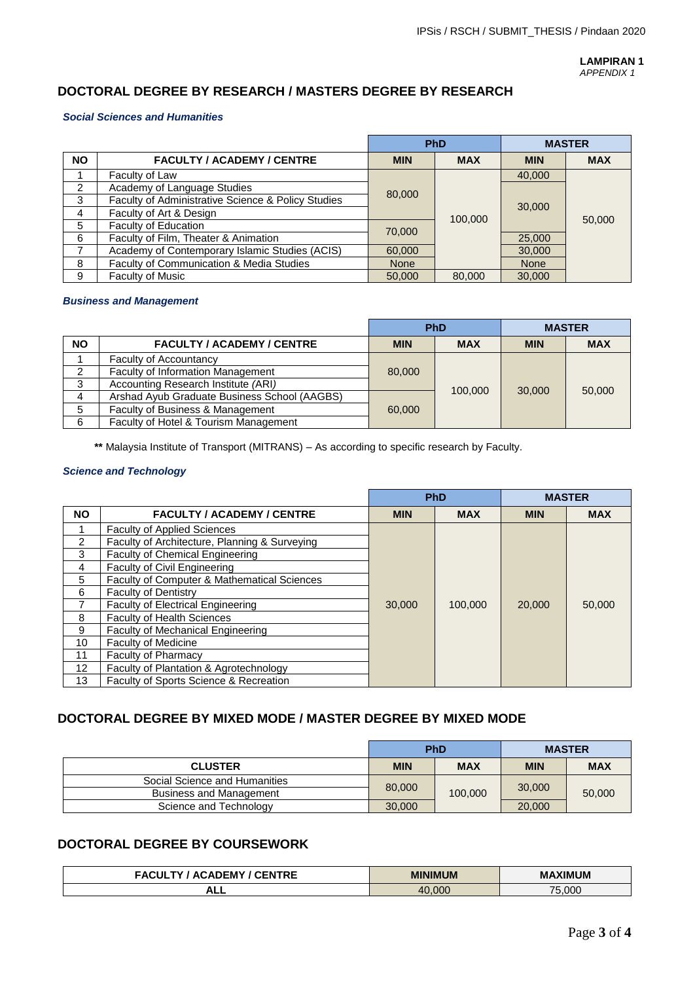**LAMPIRAN 1** *APPENDIX 1*

## **DOCTORAL DEGREE BY RESEARCH / MASTERS DEGREE BY RESEARCH**

### *Social Sciences and Humanities*

|                                                |                                                    |             | <b>PhD</b> |             | <b>MASTER</b> |  |
|------------------------------------------------|----------------------------------------------------|-------------|------------|-------------|---------------|--|
| <b>NO</b><br><b>FACULTY / ACADEMY / CENTRE</b> |                                                    | <b>MIN</b>  | <b>MAX</b> | <b>MIN</b>  | <b>MAX</b>    |  |
|                                                | Faculty of Law                                     |             |            | 40,000      |               |  |
| 2                                              | Academy of Language Studies                        | 80,000      |            |             |               |  |
| 3                                              | Faculty of Administrative Science & Policy Studies |             |            | 30,000      |               |  |
| 4                                              | Faculty of Art & Design                            |             |            |             |               |  |
| 5                                              | Faculty of Education                               | 100,000     |            |             | 50,000        |  |
| 6                                              | Faculty of Film, Theater & Animation               | 70,000      |            | 25,000      |               |  |
|                                                | Academy of Contemporary Islamic Studies (ACIS)     | 60,000      |            | 30,000      |               |  |
| 8                                              | Faculty of Communication & Media Studies           | <b>None</b> |            | <b>None</b> |               |  |
| 9                                              | Faculty of Music                                   | 50,000      | 80,000     | 30,000      |               |  |

### *Business and Management*

|                                                |                                              | <b>PhD</b> |            | <b>MASTER</b> |            |
|------------------------------------------------|----------------------------------------------|------------|------------|---------------|------------|
| <b>NO</b><br><b>FACULTY / ACADEMY / CENTRE</b> |                                              | <b>MIN</b> | <b>MAX</b> | <b>MIN</b>    | <b>MAX</b> |
|                                                | <b>Faculty of Accountancy</b>                |            |            |               |            |
|                                                | <b>Faculty of Information Management</b>     | 80,000     |            |               |            |
| 3                                              | Accounting Research Institute (ARI)          | 100,000    |            | 30,000        | 50,000     |
| 4                                              | Arshad Ayub Graduate Business School (AAGBS) | 60,000     |            |               |            |
| 5                                              | Faculty of Business & Management             |            |            |               |            |
| 6                                              | Faculty of Hotel & Tourism Management        |            |            |               |            |

**\*\*** Malaysia Institute of Transport (MITRANS) – As according to specific research by Faculty.

### *Science and Technology*

|                                        |                                               | <b>PhD</b> |            | <b>MASTER</b> |            |
|----------------------------------------|-----------------------------------------------|------------|------------|---------------|------------|
| <b>NO</b>                              | <b>FACULTY / ACADEMY / CENTRE</b>             | <b>MIN</b> | <b>MAX</b> | <b>MIN</b>    | <b>MAX</b> |
|                                        | <b>Faculty of Applied Sciences</b>            |            |            |               |            |
| $\mathcal{P}$                          | Faculty of Architecture, Planning & Surveying |            |            |               |            |
| 3                                      | <b>Faculty of Chemical Engineering</b>        |            |            |               |            |
| 4                                      | Faculty of Civil Engineering                  |            |            |               |            |
| 5                                      | Faculty of Computer & Mathematical Sciences   |            |            |               |            |
| 6                                      | <b>Faculty of Dentistry</b>                   |            |            |               |            |
|                                        | Faculty of Electrical Engineering             |            | 100,000    | 20,000        | 50,000     |
| 8<br><b>Faculty of Health Sciences</b> |                                               |            |            |               |            |
| 9                                      | <b>Faculty of Mechanical Engineering</b>      |            |            |               |            |
| 10                                     | <b>Faculty of Medicine</b>                    |            |            |               |            |
| 11                                     | <b>Faculty of Pharmacy</b>                    |            |            |               |            |
| $12 \overline{ }$                      | Faculty of Plantation & Agrotechnology        |            |            |               |            |
| 13                                     | Faculty of Sports Science & Recreation        |            |            |               |            |

## **DOCTORAL DEGREE BY MIXED MODE / MASTER DEGREE BY MIXED MODE**

|                                | <b>PhD</b> |            | <b>MASTER</b> |            |  |
|--------------------------------|------------|------------|---------------|------------|--|
| <b>CLUSTER</b>                 |            | <b>MAX</b> | <b>MIN</b>    | <b>MAX</b> |  |
| Social Science and Humanities  |            |            | 30,000        |            |  |
| <b>Business and Management</b> | 80,000     | 100,000    |               | 50,000     |  |
| Science and Technology         | 30,000     |            | 20,000        |            |  |

# **DOCTORAL DEGREE BY COURSEWORK**

| $\sim$ $\sim$ $\sim$ $\sim$ $\sim$<br><b>FNTRF</b><br>ENC'<br>ADEM'<br>$\mathbf{v}$ | <b>MINIMUM</b>           | <b>MAXIMUM</b>         |  |
|-------------------------------------------------------------------------------------|--------------------------|------------------------|--|
| न⊾⊾                                                                                 | .000<br>$\Lambda$ $\cap$ | .000<br>7 <sub>r</sub> |  |